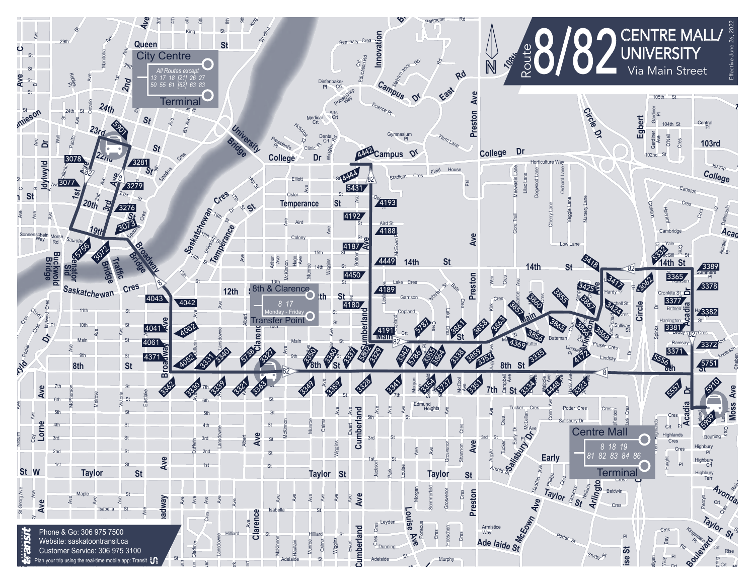